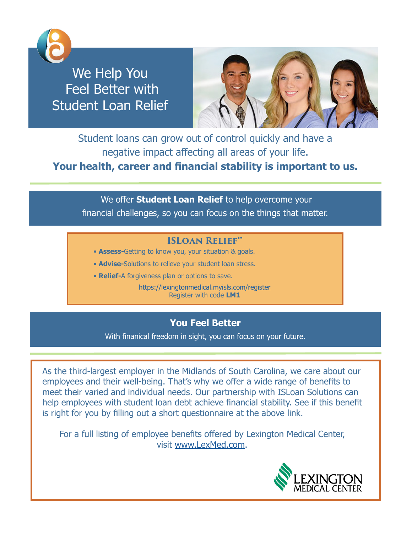

We Help You Feel Better with Student Loan Relief



Student loans can grow out of control quickly and have a negative impact affecting all areas of your life. **Your health, career and fnancial stability is important to us.** 

 We offer **Student Loan Relief** to help overcome your fnancial challenges, so you can focus on the things that matter.

## **ISLoan ReliefTM**

- **Assess-**Getting to know you, your situation & goals.
- **Advise-**Solutions to relieve your student loan stress.
- **Relief-**A forgiveness plan or options to save.

<https://lexingtonmedical.myisls.com/register> Register with code **LM1**

## **You Feel Better**

With fnanical freedom in sight, you can focus on your future.

As the third-largest employer in the Midlands of South Carolina, we care about our employees and their well-being. That's why we offer a wide range of benefts to meet their varied and individual needs. Our partnership with ISLoan Solutions can help employees with student loan debt achieve fnancial stability. See if this beneft is right for you by flling out a short questionnaire at the above link.

For a full listing of employee benefts offered by Lexington Medical Center, visit [www.LexMed.com](http://www.LexMed.com).